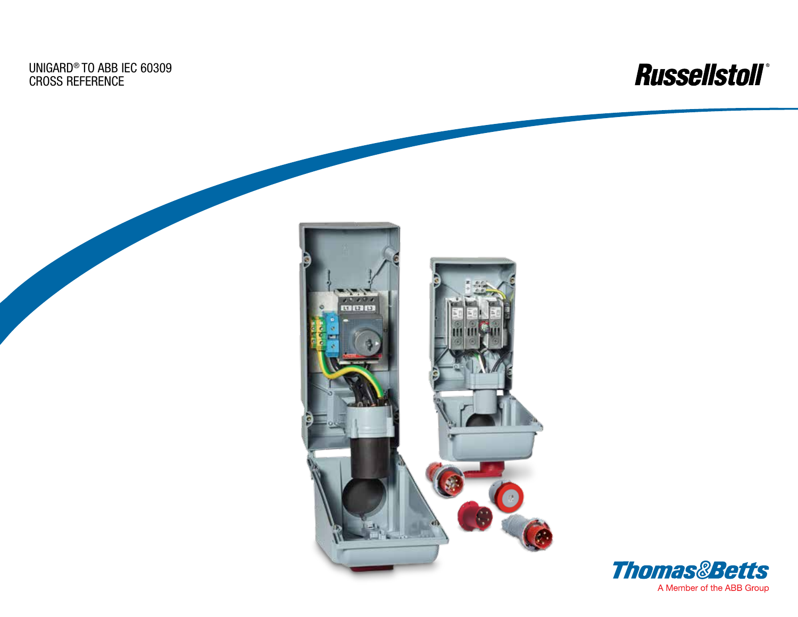UniGard® to ABB IEC 60309 Cross Reference



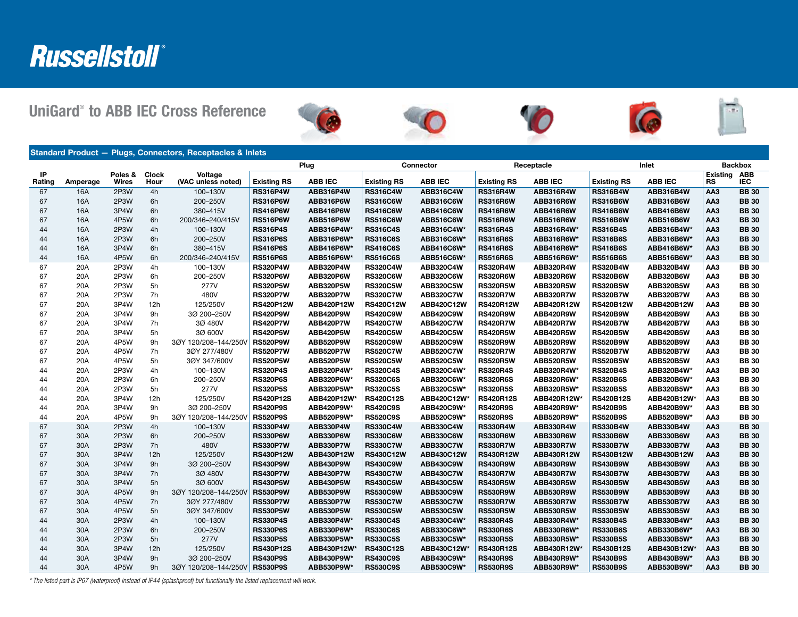# Russellstoll®

UniGard® to ABB IEC Cross Reference











Standard Product — Plugs, Connectors, Receptacles & Inlets Plug **Connector Receptacle Inlet Backbox** Backbox IP<br>Rating Amperage Poles & Wires Clock Hour Voltage (VAC unless noted) Existing RS ABB IEC Existing RS ABB IEC Existing RS ABB IEC Existing RS ABB IEC **Existing** RS ABB IEC 67 16A 2P3W 4h 100–130V |RS316P4W ABB316P4W |RS316C4W ABB316C4W |RS316R4W ABB316R4W |RS316B4W ABB316B4W |AA3 BB 30 67 16A 2P3W 6h 200–250V |RS316P6W ABB316P6W RS316C6W ABB316C6W RS316R6W ABB316R6W RS316B6W ABB316B6W AA3 BB 30 67 16A 3P4W 6h 380–415V RS416P6W ABB416P6W RS416C6W ABB416C6W RS416R6W ABB416R6W RS416B6W ABB416B6W AA3 BB 30 67 16A 4P5W 6h 200/346–240/415V RS516P6W ABB516P6W RS516C6W ABB516C6W RS516R6W ABB516R6W RS516B6W ABB516B6W AA3 BB 30 44 16A 2P3W 4h 100–130V **RS316P4S ABB316P4W\* RS316C4S ABB316C4W\* RS316R4S ABB316R4W\* RS316B4S ABB316B4W\* AA3 BB 30** 44 16A 2P3W 6h 200–250V RS316P6S ABB316P6W\* RS316C6S ABB316C6W\* RS316R6S ABB316R6W\* RS316B6S ABB316B6W\* AA3 BB 30 44 16A 3P4W 6h 380–415V <mark>IRS416P6S ABB416P6W\* |RS416C6S ABB416C6W\* |RS416R6S ABB416R6W\* |RS416B6S ABB416B6W\* |AA3 BB 30</mark> 44 16A 4P5W 6h 200/346–240/415V |**RS516P6S ABB516P6W\* |RS516C6S ABB516C6W\* |RS516R6S ABB516FR6W\* |RS516B6S ABB516B6W\* |AA3 BB 30** 67 20A 2P3W 4h 100–130V RS320P4W ABB320P4W RS320C4W ABB320C4W RS320R4W ABB320R4W RS320B4W ABB320B4W AA3 BB 30 67 20A 2P3W 6h 200–250V RS320P6W ABB320P6W RS320C6W ABB320C6W RS320R6W ABB320R6W RS320B6W ABB320B6W AA3 BB 30 67 20A 2P3W 5h 277V RS320P5W ABB320P5W RS320C5W ABB320C5W RS320R5W ABB320R5W RS320B5W ABB320B5W AA3 BB 30 67 20A 2P3W 7h 480V RS320P7W ABB320P7W RS320C7W ABB320C7W RS320R7W ABB320R7W RS320B7W ABB320B7W AA3 BB 30 67 20A 3P4W 12h 125/250V RS420P12W ABB420P12W RS420C12W ABB420C12W RS420R12W ABB420R12W RS420B12W ABB420B12W AA3 BB 30 67 20A 3P4W 9h 3Ø 200–250V RS420P9W ABB420P9W RS420C9W ABB420C9W RS420R9W ABB420R9W RS420B9W ABB420B9W AA3 BB 30 67 20A 3P4W 7h 3Ø 480V RS420P7W ABB420P7W RS420C7W ABB420C7W RS420R7W ABB420R7W RS420B7W ABB420B7W AA3 BB 30 67 20A 3P4W 5h 3Ø 600V RS420P5W ABB420P5W RS420C5W ABB420C5W RS420R5W ABB420R5W RS420B5W ABB420B5W AA3 BB 30 67 20A 4P5W 9h 3ØY 120/208–144/250V RS520P9W ABB520P9W RS520C9W ABB520C9W RS520R9W ABB520R9W RS520B9W ABB520B9W AA3 BB 30 67 20A 4P5W 7h 3ØY 277/480V RS520P7W ABB520P7W RS520C7W ABB520C7W RS520R7W ABB520R7W RS520B7W ABB520B7W AA3 BB 30 67 20A 4P5W 5h 3ØY 347/600V RS520P5W ABB520P5W RS520C5W ABB520C5W RS520R5W ABB520R5W RS520B5W ABB520B5W AA3 BB 30 44 20A 2P3W 4h 100–130V RS320P4S ABB320P4W\* RS320C4S ABB320C4W\* RS320R4S ABB320R4W\* RS320B4S ABB320B4W\* AA3 BB 30 44 20A 2P3W 6h 200–250V RS320P6S ABB320P6W\* RS320C6S ABB320C6W\* RS320R6S ABB320R6W\* RS320B6S ABB320B6W\* AA3 BB 30 44 20A 2P3W 5h 277V RS320P5S ABB320P5W\* RS320C5S ABB320C5W\* RS320R5S ABB320R5W\* RS320B5S ABB320B5W\* AA3 BB 30 44 20A 3P4W 12h 125/250V RS420P12S ABB420P12W\*|RS420C12S ABB420C12W\*|RS420R12S ABB420R12W\*|RS420B12S ABB420B12W\*|AA3 BB 30 44 20A 3P4W 9h 3Ø 200–250V RS420P9S ABB420P9W\* RS420C9S ABB420C9W\* RS420R9S ABB420R9W\* RS420B9S ABB420B9W\* AA3 BB 30 44 20A 4P5W 9h 3ØY 120/208–144/250V RS520P9S ABB520P9W\* RS520C9S ABB520C9W\* RS520R9S ABB520R9W\* RS520B9S ABB520B9W\* AA3 BB 30 67 30A 2P3W 4h 100–130V RS330P4W ABB330P4W RS330C4W ABB330C4W RS330R4W ABB330R4W RS330B4W ABB330B4W AA3 BB 30 67 30A 2P3W 6h 200–250V RS330P6W ABB330P6W RS330C6W ABB330C6W RS330R6W ABB330R6W RS330B6W ABB330B6W AA3 BB 30 67 30A 2P3W 7h 480V RS330P7W ABB330P7W RS330C7W ABB330C7W RS330R7W ABB330R7W RS330B7W ABB330B7W AA3 BB 30 67 30A 3P4W 12h 125/250V RS430P12W ABB430P12W RS430C12W ABB430C12W RS430R12W ABB430R12W RS430B12W ABB430B12W AA3 BB 30 67 30A 3P4W 9h 3Ø 200–250V RS430P9W ABB430P9W RS430C9W ABB430C9W RS430R9W ABB430R9W RS430B9W ABB430B9W AA3 BB 30 67 30A 3P4W 7h 3Ø 480V RS430P7W ABB430P7W RS430C7W ABB430C7W RS430R7W ABB430R7W RS430B7W ABB430B7W AA3 BB 30 67 30A 3P4W 5h 3Ø 600V RS430P5W ABB430P5W RS430C5W ABB430C5W RS430R5W ABB430R5W RS430B5W ABB430B5W AA3 BB 30 67 30A 4P5W 9h 3ØY 120/208–144/250V RS530P9W ABB530P9W RS530C9W ABB530C9W RS530R9W ABB530R9W RS530B9W ABB530B9W AA3 BB 30 67 30A 4P5W 7h 3ØY 277/480V RS530P7W ABB530P7W RS530C7W ABB530C7W RS530R7W ABB530R7W RS530B7W ABB530B7W AA3 BB 30 67 30A 4P5W 5h 3ØY 347/600V RS530P5W ABB530P5W RS530C5W ABB530C5W RS530R5W ABB530R5W RS530B5W ABB530B5W AA3 BB 30 44 30A 2P3W 4h 100–130V RS330P4S ABB330P4W\* RS330C4S ABB330C4W\* RS330R4S ABB330R4W\* RS330B4S ABB330B4W\* AA3 BB 30 44 30A 2P3W 6h 200–250V RS330P6S ABB330P6W\* RS330C6S ABB330C6W\* RS330R6S ABB330R6W\* RS330B6S ABB330B6W\* AA3 BB 30 44 30A 2P3W 5h 277V RS330P5S ABB330P5W\* RS330C5S ABB330C5W\* RS330R5S ABB330R5W\* RS330B5S ABB330B5W\* AA3 BB 30 44 30A 3P4W 12h 125/250V |**RS430P12S ABB430P12W\*|RS430C12S ABB430C12W\*|RS430R12S ABB430R12W\*|RS430B12S ABB430B12W\*|AA3 BB 30** 44 30A 3P4W 9h 3Ø 200–250V RS430P9S ABB430P9W\* RS430C9S ABB430C9W\* RS430R9S ABB430R9W\* RS430B9S ABB430B9W\* AA3 BB 30

44 30A 4P5W 9h 3ØY 120/208–144/250V RS530P9S ABB530P9W\* RS530C9S ABB530C9W\* RS530R9S ABB530R9W\* RS530B9S ABB530B9W\* AA3 BB 30

*\* The listed part is IP67 (waterproof) instead of IP44 (splashproof) but functionally the listed replacement will work.*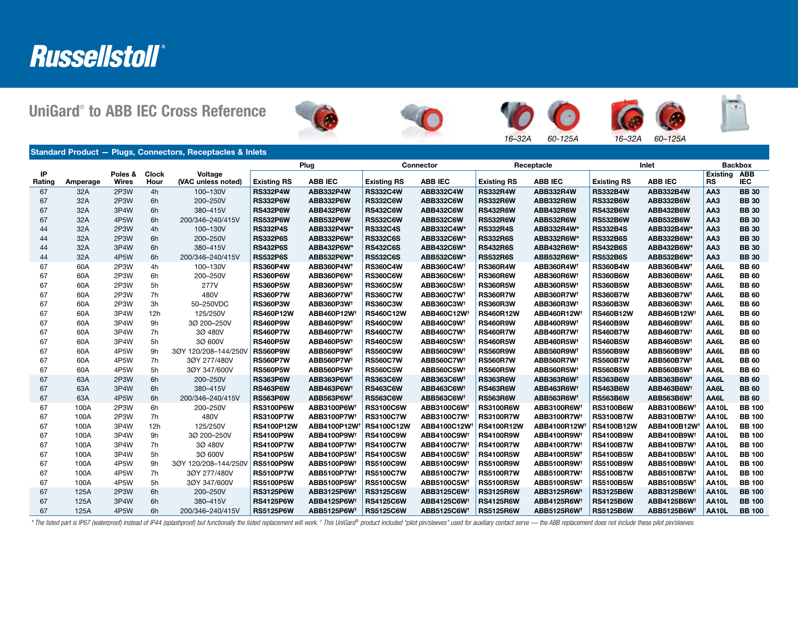# Russellstoll®

UniGard® to ABB IEC Cross Reference











*16–32A 60-125A 16–32A 60–125A*

|              |          | Standard Product - Plugs, Connectors, Receptacles & Inlets |                                 |                               |                    |                          |                    |                              |                    |                          |                    |                               |                       |                          |
|--------------|----------|------------------------------------------------------------|---------------------------------|-------------------------------|--------------------|--------------------------|--------------------|------------------------------|--------------------|--------------------------|--------------------|-------------------------------|-----------------------|--------------------------|
|              |          |                                                            | Plug<br>Connector<br>Receptacle |                               |                    | Inlet                    |                    | <b>Backbox</b>               |                    |                          |                    |                               |                       |                          |
| IP<br>Rating | Amperage | Poles &<br><b>Wires</b>                                    | <b>Clock</b><br>Hour            | Voltage<br>(VAC unless noted) | <b>Existing RS</b> | <b>ABB IEC</b>           | <b>Existing RS</b> | <b>ABB IEC</b>               | <b>Existing RS</b> | <b>ABB IEC</b>           | <b>Existing RS</b> | <b>ABB IEC</b>                | Existing<br><b>RS</b> | <b>ABB</b><br><b>IEC</b> |
| 67           | 32A      | 2P3W                                                       | 4h                              | 100-130V                      | <b>RS332P4W</b>    | ABB332P4W                | <b>RS332C4W</b>    | <b>ABB332C4W</b>             | <b>RS332R4W</b>    | ABB332R4W                | <b>RS332B4W</b>    | ABB332B4W                     | AA <sub>3</sub>       | <b>BB</b> 30             |
| 67           | 32A      | 2P3W                                                       | 6h                              | 200-250V                      | <b>RS332P6W</b>    | <b>ABB332P6W</b>         | <b>RS332C6W</b>    | <b>ABB332C6W</b>             | <b>RS332R6W</b>    | ABB332R6W                | <b>RS332B6W</b>    | ABB332B6W                     | AA <sub>3</sub>       | <b>BB30</b>              |
| 67           | 32A      | 3P4W                                                       | 6h                              | 380-415V                      | <b>RS432P6W</b>    | ABB432P6W                | <b>RS432C6W</b>    | <b>ABB432C6W</b>             | <b>RS432R6W</b>    | ABB432R6W                | <b>RS432B6W</b>    | ABB432B6W                     | AA <sub>3</sub>       | <b>BB30</b>              |
| 67           | 32A      | 4P5W                                                       | 6h                              | 200/346-240/415V              | <b>RS532P6W</b>    | <b>ABB532P6W</b>         | <b>RS532C6W</b>    | <b>ABB532C6W</b>             | <b>RS532R6W</b>    | ABB532R6W                | <b>RS532B6W</b>    | ABB532B6W                     | AA <sub>3</sub>       | <b>BB30</b>              |
| 44           | 32A      | 2P3W                                                       | 4h                              | 100-130V                      | <b>RS332P4S</b>    | ABB332P4W*               | <b>RS332C4S</b>    | ABB332C4W*                   | <b>RS332R4S</b>    | ABB332R4W*               | <b>RS332B4S</b>    | ABB332B4W*                    | AA <sub>3</sub>       | <b>BB</b> 30             |
| 44           | 32A      | 2P3W                                                       | 6h                              | 200-250V                      | <b>RS332P6S</b>    | ABB332P6W*               | <b>RS332C6S</b>    | ABB332C6W*                   | <b>RS332R6S</b>    | ABB332R6W*               | <b>RS332B6S</b>    | ABB332B6W*                    | AA <sub>3</sub>       | <b>BB</b> 30             |
| 44           | 32A      | 3P4W                                                       | 6h                              | 380-415V                      | <b>RS432P6S</b>    | ABB432P6W*               | <b>RS432C6S</b>    | ABB432C6W*                   | <b>RS432R6S</b>    | ABB432R6W*               | <b>RS432B6S</b>    | ABB432B6W*                    | AA <sub>3</sub>       | <b>BB</b> 30             |
| 44           | 32A      | 4P5W                                                       | 6h                              | 200/346-240/415V              | <b>RS532P6S</b>    | ABB532P6W*               | <b>RS532C6S</b>    | ABB532C6W*                   | <b>RS532R6S</b>    | ABB532R6W*               | <b>RS532B6S</b>    | ABB532B6W*                    | AA <sub>3</sub>       | <b>BB30</b>              |
| 67           | 60A      | 2P3W                                                       | 4h                              | 100-130V                      | <b>RS360P4W</b>    | ABB360P4W <sup>+</sup>   | <b>RS360C4W</b>    | ABB360C4W1                   | <b>RS360R4W</b>    | ABB360R4W1               | <b>RS360B4W</b>    | ABB360B4W <sup>+</sup>        | AA6L                  | <b>BB</b> 60             |
| 67           | 60A      | 2P3W                                                       | 6h                              | 200-250V                      | <b>RS360P6W</b>    | ABB360P6W <sup>+</sup>   | <b>RS360C6W</b>    | <b>ABB360C6W1</b>            | <b>RS360R6W</b>    | ABB360R6W                | <b>RS360B6W</b>    | ABB360B6W <sup>+</sup>        | AA6L                  | <b>BB</b> 60             |
| 67           | 60A      | 2P3W                                                       | 5h                              | 277V                          | <b>RS360P5W</b>    | ABB360P5W                | <b>RS360C5W</b>    | ABB360C5W <sup>+</sup>       | <b>RS360R5W</b>    | ABB360R5W                | <b>RS360B5W</b>    | ABB360B5W <sup>+</sup>        | AA6L                  | <b>BB</b> 60             |
| 67           | 60A      | 2P3W                                                       | 7h                              | 480V                          | <b>RS360P7W</b>    | <b>ABB360P7W1</b>        | <b>RS360C7W</b>    | <b>ABB360C7W<sup>+</sup></b> | <b>RS360R7W</b>    | <b>ABB360R7W1</b>        | <b>RS360B7W</b>    | <b>ABB360B7W<sup>+</sup></b>  | AA6L                  | <b>BB</b> 60             |
| 67           | 60A      | 2P3W                                                       | 3h                              | 50-250VDC                     | <b>RS360P3W</b>    | ABB360P3W1               | <b>RS360C3W</b>    | ABB360C3W <sup>+</sup>       | <b>RS360R3W</b>    | ABB360R3W1               | <b>RS360B3W</b>    | ABB360B3W <sup>+</sup>        | AA6L                  | <b>BB</b> 60             |
| 67           | 60A      | 3P4W                                                       | 12h                             | 125/250V                      | <b>RS460P12W</b>   | ABB460P12W <sup>+</sup>  | <b>RS460C12W</b>   | ABB460C12W <sup>+</sup>      | <b>RS460R12W</b>   | ABB460R12W               | <b>RS460B12W</b>   | ABB460B12W <sup>+</sup>       | AA6L                  | <b>BB</b> 60             |
| 67           | 60A      | 3P4W                                                       | 9h                              | 3Ø 200-250V                   | <b>RS460P9W</b>    | ABB460P9W <sup>+</sup>   | <b>RS460C9W</b>    | ABB460C9W <sup>+</sup>       | <b>RS460R9W</b>    | ABB460R9W <sup>+</sup>   | <b>RS460B9W</b>    | ABB460B9W†                    | AA6L                  | <b>BB</b> 60             |
| 67           | 60A      | 3P4W                                                       | 7h                              | 3Ø 480V                       | <b>RS460P7W</b>    | ABB460P7W <sup>+</sup>   | <b>RS460C7W</b>    | ABB460C7W <sup>+</sup>       | <b>RS460R7W</b>    | ABB460R7W                | <b>RS460B7W</b>    | <b>ABB460B7W<sup>+</sup></b>  | AA6L                  | <b>BB</b> 60             |
| 67           | 60A      | 3P4W                                                       | 5h                              | 3Ø 600V                       | <b>RS460P5W</b>    | <b>ABB460P5W1</b>        | <b>RS460C5W</b>    | <b>ABB460C5W1</b>            | <b>RS460R5W</b>    | ABB460R5W                | <b>RS460B5W</b>    | ABB460B5W <sup>t</sup>        | AA6L                  | <b>BB</b> 60             |
| 67           | 60A      | 4P5W                                                       | 9h                              | 3ØY 120/208-144/250V          | <b>RS560P9W</b>    | ABB560P9W1               | <b>RS560C9W</b>    | ABB560C9W <sup>+</sup>       | <b>RS560R9W</b>    | ABB560R9W1               | <b>RS560B9W</b>    | ABB560B9W <sup>+</sup>        | AA6L                  | <b>BB</b> 60             |
| 67           | 60A      | 4P5W                                                       | 7h                              | 30Y 277/480V                  | <b>RS560P7W</b>    | <b>ABB560P7W1</b>        | <b>RS560C7W</b>    | <b>ABB560C7W<sup>+</sup></b> | <b>RS560R7W</b>    | <b>ABB560R7W1</b>        | <b>RS560B7W</b>    | ABB560B7W <sup>+</sup>        | AA6L                  | <b>BB</b> 60             |
| 67           | 60A      | 4P5W                                                       | 5h                              | 3ØY 347/600V                  | <b>RS560P5W</b>    | ABB560P5W1               | <b>RS560C5W</b>    | ABB560C5W <sup>+</sup>       | <b>RS560R5W</b>    | ABB560R5W1               | <b>RS560B5W</b>    | ABB560B5W <sup>+</sup>        | AA6L                  | <b>BB</b> 60             |
| 67           | 63A      | 2P3W                                                       | 6h                              | 200-250V                      | <b>RS363P6W</b>    | ABB363P6W1               | <b>RS363C6W</b>    | ABB363C6W1                   | <b>RS363R6W</b>    | ABB363R6W1               | <b>RS363B6W</b>    | ABB363B6W <sup>+</sup>        | AA6L                  | <b>BB</b> 60             |
| 67           | 63A      | 3P4W                                                       | 6h                              | 380-415V                      | <b>RS463P6W</b>    | ABB463P6W <sup>+</sup>   | <b>RS463C6W</b>    | ABB463C6W1                   | <b>RS463R6W</b>    | ABB463R6W1               | <b>RS463B6W</b>    | ABB463B6W <sup>+</sup>        | AA6L                  | <b>BB</b> 60             |
| 67           | 63A      | 4P5W                                                       | 6h                              | 200/346-240/415V              | <b>RS563P6W</b>    | ABB563P6W1               | <b>RS563C6W</b>    | ABB563C6W <sup>+</sup>       | <b>RS563R6W</b>    | ABB563R6W1               | <b>RS563B6W</b>    | ABB563B6W <sup>+</sup>        | AA6L                  | <b>BB</b> 60             |
| 67           | 100A     | 2P3W                                                       | 6h                              | 200-250V                      | <b>RS3100P6W</b>   | ABB3100P6W <sup>+</sup>  | <b>RS3100C6W</b>   | ABB3100C6W <sup>+</sup>      | <b>RS3100R6W</b>   | ABB3100R6W <sup>+</sup>  | <b>RS3100B6W</b>   | ABB3100B6W <sup>+</sup>       | <b>AA10L</b>          | <b>BB 100</b>            |
| 67           | 100A     | 2P3W                                                       | 7h                              | 480V                          | <b>RS3100P7W</b>   | ABB3100P7W <sup>+</sup>  | <b>RS3100C7W</b>   | ABB3100C7W <sup>+</sup>      | <b>RS3100R7W</b>   | ABB3100R7W <sup>+</sup>  | <b>RS3100B7W</b>   | ABB3100B7W <sup>+</sup>       | AA10L                 | <b>BB 100</b>            |
| 67           | 100A     | 3P4W                                                       | 12h                             | 125/250V                      | <b>RS4100P12W</b>  | ABB4100P12W <sup>+</sup> | RS4100C12W         | ABB4100C12W                  | <b>RS4100R12W</b>  | ABB4100R12W <sup>+</sup> | <b>RS4100B12W</b>  | ABB4100B12W                   | AA <sub>10</sub> L    | <b>BB 100</b>            |
| 67           | 100A     | 3P4W                                                       | 9h                              | 3Ø 200-250V                   | <b>RS4100P9W</b>   | ABB4100P9W <sup>+</sup>  | <b>RS4100C9W</b>   | ABB4100C9W <sup>+</sup>      | <b>RS4100R9W</b>   | ABB4100R9W <sup>+</sup>  | <b>RS4100B9W</b>   | ABB4100B9W <sup>+</sup>       | AA10L                 | <b>BB 100</b>            |
| 67           | 100A     | 3P4W                                                       | 7h                              | 3Ø 480V                       | <b>RS4100P7W</b>   | ABB4100P7W <sup>+</sup>  | <b>RS4100C7W</b>   | ABB4100C7W <sup>+</sup>      | <b>RS4100R7W</b>   | ABB4100R7W <sup>+</sup>  | <b>RS4100B7W</b>   | ABB4100B7W <sup>+</sup>       | AA10L                 | <b>BB 100</b>            |
| 67           | 100A     | 3P4W                                                       | 5h                              | 3Ø 600V                       | <b>RS4100P5W</b>   | ABB4100P5W <sup>+</sup>  | <b>RS4100C5W</b>   | ABB4100C5W <sup>+</sup>      | <b>RS4100R5W</b>   | ABB4100R5W <sup>+</sup>  | <b>RS4100B5W</b>   | ABB4100B5W <sup>+</sup>       | <b>AA10L</b>          | <b>BB 100</b>            |
| 67           | 100A     | 4P5W                                                       | 9h                              | 3ØY 120/208-144/250V          | <b>RS5100P9W</b>   | ABB5100P9W <sup>+</sup>  | <b>RS5100C9W</b>   | ABB5100C9W <sup>+</sup>      | <b>RS5100R9W</b>   | ABB5100R9W <sup>+</sup>  | <b>RS5100B9W</b>   | ABB5100B9W <sup>+</sup>       | AA10L                 | <b>BB 100</b>            |
| 67           | 100A     | 4P5W                                                       | 7h                              | 3ØY 277/480V                  | <b>RS5100P7W</b>   | ABB5100P7W <sup>+</sup>  | <b>RS5100C7W</b>   | ABB5100C7W <sup>+</sup>      | <b>RS5100R7W</b>   | <b>ABB5100R7W</b>        | <b>RS5100B7W</b>   | <b>ABB5100B7W<sup>+</sup></b> | AA10L                 | <b>BB 100</b>            |
| 67           | 100A     | 4P5W                                                       | 5h                              | 3ØY 347/600V                  | <b>RS5100P5W</b>   | ABB5100P5W <sup>+</sup>  | <b>RS5100C5W</b>   | ABB5100C5W <sup>+</sup>      | <b>RS5100R5W</b>   | ABB5100R5W <sup>+</sup>  | <b>RS5100B5W</b>   | ABB5100B5W <sup>+</sup>       | AA10L                 | <b>BB 100</b>            |
| 67           | 125A     | 2P3W                                                       | 6h                              | 200-250V                      | <b>RS3125P6W</b>   | ABB3125P6W <sup>+</sup>  | <b>RS3125C6W</b>   | ABB3125C6W <sup>+</sup>      | <b>RS3125R6W</b>   | ABB3125R6W <sup>+</sup>  | <b>RS3125B6W</b>   | ABB3125B6W1                   | <b>AA10L</b>          | <b>BB</b> 100            |
| 67           | 125A     | 3P4W                                                       | 6h                              | 380-415V                      | <b>RS4125P6W</b>   | ABB4125P6W <sup>+</sup>  | <b>RS4125C6W</b>   | ABB4125C6W <sup>+</sup>      | <b>RS4125R6W</b>   | ABB4125R6W <sup>+</sup>  | <b>RS4125B6W</b>   | ABB4125B6W1                   | <b>AA10L</b>          | <b>BB 100</b>            |
| 67           | 125A     | 4P5W                                                       | 6h                              | 200/346-240/415V              | <b>RS5125P6W</b>   | ABB5125P6W <sup>+</sup>  | <b>RS5125C6W</b>   | ABB5125C6W <sup>+</sup>      | <b>RS5125R6W</b>   | ABB5125R6W <sup>+</sup>  | <b>RS5125B6W</b>   | ABB5125B6W <sup>+</sup>       | AA10L                 | <b>BB 100</b>            |

\* The listed part is IP67 (waterproof) instead of IP44 (splashproof) but functionally the listed replacement will work. † This UniGard® product included "pilot pin/sleeves" used for auxiliary contact serve — the ABB replac